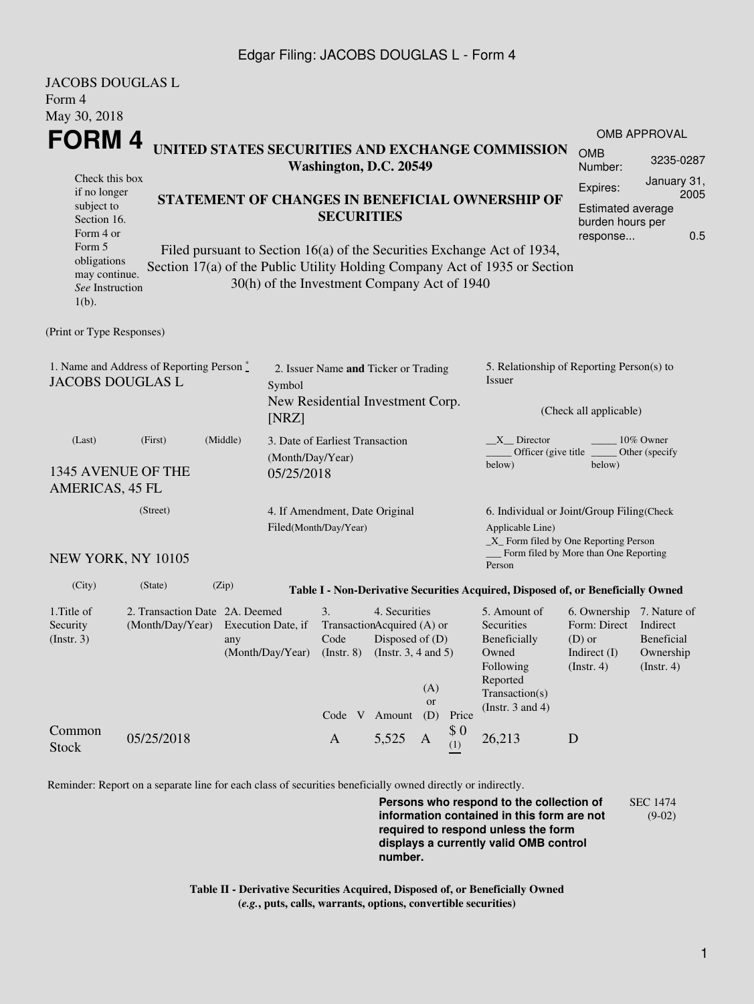## Edgar Filing: JACOBS DOUGLAS L - Form 4

| <b>JACOBS DOUGLAS L</b><br>Form 4                                                                                               |                                                                                                             |                                                                                                                                                                                                                                                                              |                                                                          |                                                                                                                              |                                    |                  |                                                                               |                                                                                                                                                            |                                                                                                      |                                                 |  |
|---------------------------------------------------------------------------------------------------------------------------------|-------------------------------------------------------------------------------------------------------------|------------------------------------------------------------------------------------------------------------------------------------------------------------------------------------------------------------------------------------------------------------------------------|--------------------------------------------------------------------------|------------------------------------------------------------------------------------------------------------------------------|------------------------------------|------------------|-------------------------------------------------------------------------------|------------------------------------------------------------------------------------------------------------------------------------------------------------|------------------------------------------------------------------------------------------------------|-------------------------------------------------|--|
| May 30, 2018<br>FORM 4<br>Check this box                                                                                        |                                                                                                             | UNITED STATES SECURITIES AND EXCHANGE COMMISSION<br>Washington, D.C. 20549                                                                                                                                                                                                   |                                                                          |                                                                                                                              |                                    |                  |                                                                               |                                                                                                                                                            |                                                                                                      | <b>OMB APPROVAL</b><br>3235-0287<br>January 31, |  |
| if no longer<br>subject to<br>Section 16.<br>Form 4 or<br>Form 5<br>obligations<br>may continue.<br>See Instruction<br>$1(b)$ . |                                                                                                             | STATEMENT OF CHANGES IN BENEFICIAL OWNERSHIP OF<br><b>SECURITIES</b><br>Filed pursuant to Section 16(a) of the Securities Exchange Act of 1934,<br>Section 17(a) of the Public Utility Holding Company Act of 1935 or Section<br>30(h) of the Investment Company Act of 1940 |                                                                          |                                                                                                                              |                                    |                  |                                                                               |                                                                                                                                                            | Expires:<br>Estimated average<br>burden hours per<br>response                                        | 2005<br>0.5                                     |  |
| (Print or Type Responses)                                                                                                       |                                                                                                             |                                                                                                                                                                                                                                                                              |                                                                          |                                                                                                                              |                                    |                  |                                                                               |                                                                                                                                                            |                                                                                                      |                                                 |  |
| 1. Name and Address of Reporting Person $\stackrel{*}{\mathbb{L}}$<br><b>JACOBS DOUGLAS L</b><br>Symbol<br>[NRZ]                |                                                                                                             |                                                                                                                                                                                                                                                                              | 2. Issuer Name and Ticker or Trading<br>New Residential Investment Corp. |                                                                                                                              |                                    |                  | 5. Relationship of Reporting Person(s) to<br>Issuer<br>(Check all applicable) |                                                                                                                                                            |                                                                                                      |                                                 |  |
| (Middle)<br>(Last)<br>(First)<br>1345 AVENUE OF THE<br>AMERICAS, 45 FL                                                          |                                                                                                             |                                                                                                                                                                                                                                                                              |                                                                          | 3. Date of Earliest Transaction<br>(Month/Day/Year)<br>05/25/2018                                                            |                                    |                  |                                                                               | 10% Owner<br>$X$ Director<br>Officer (give title<br>Other (specify)<br>below)<br>below)                                                                    |                                                                                                      |                                                 |  |
|                                                                                                                                 | (Street)<br>4. If Amendment, Date Original<br>Filed(Month/Day/Year)<br>NEW YORK, NY 10105                   |                                                                                                                                                                                                                                                                              |                                                                          |                                                                                                                              |                                    |                  |                                                                               | 6. Individual or Joint/Group Filing(Check<br>Applicable Line)<br>_X_ Form filed by One Reporting Person<br>Form filed by More than One Reporting<br>Person |                                                                                                      |                                                 |  |
| (City)                                                                                                                          | (State)                                                                                                     | (Zip)                                                                                                                                                                                                                                                                        |                                                                          |                                                                                                                              |                                    |                  |                                                                               | Table I - Non-Derivative Securities Acquired, Disposed of, or Beneficially Owned                                                                           |                                                                                                      |                                                 |  |
| 1. Title of<br>Security<br>(Insert. 3)                                                                                          | 2. Transaction Date 2A. Deemed<br>(Month/Day/Year) Execution Date, if<br>any                                |                                                                                                                                                                                                                                                                              |                                                                          | 4. Securities<br>3.<br>TransactionAcquired (A) or<br>Code Disposed of (D)<br>(Month/Day/Year) (Instr. 8) (Instr. 3, 4 and 5) |                                    |                  |                                                                               | 5. Amount of<br>Securities<br>Beneficially<br>Owned<br>Following<br>Reported                                                                               | 6. Ownership 7. Nature of<br>Form: Direct Indirect<br>$(D)$ or<br>Indirect $(I)$<br>$($ Instr. 4 $)$ | Beneficial<br>Ownership<br>$($ Instr. 4 $)$     |  |
| Common<br><b>Stock</b>                                                                                                          | 05/25/2018                                                                                                  |                                                                                                                                                                                                                                                                              |                                                                          | $\mathbf{A}$                                                                                                                 | Code V Amount (D) Price<br>5,525 A | (A)<br><b>or</b> | \$0<br>(1)                                                                    | Transaction(s)<br>(Instr. $3$ and $4$ )<br>26,213                                                                                                          | D                                                                                                    |                                                 |  |
|                                                                                                                                 | Reminder: Report on a separate line for each class of securities beneficially owned directly or indirectly. |                                                                                                                                                                                                                                                                              |                                                                          |                                                                                                                              |                                    |                  |                                                                               |                                                                                                                                                            |                                                                                                      |                                                 |  |

**Persons who respond to the collection of information contained in this form are not required to respond unless the form displays a currently valid OMB control number.** SEC 1474 (9-02)

**Table II - Derivative Securities Acquired, Disposed of, or Beneficially Owned (***e.g.***, puts, calls, warrants, options, convertible securities)**